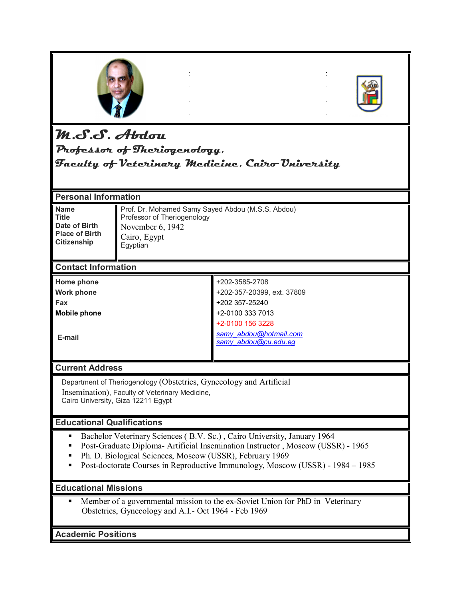



# **M.S.S. Abdou**

**Professor of Theriogenology,**

**Faculty of Veterinary Medicine, Cairo University**

#### **Personal Information** Prof. Dr. Mohamed Samy Sayed Abdou (M.S.S. Abdou) Professor of Theriogenology November 6, 1942 Cairo, Egypt Egyptian **Name Title Date of Birth Place of Birth Citizenship Contact Information** +202-3585-2708 +202-357-20399, ext. 37809 +202 357-25240 +2-0100 333 7013 +2-0100 156 3228 *samy\_abdou@hotmail.com samy\_abdou@cu.edu.eg*  **Home phone Work phone Fax Mobile phone E-mail**

# **Current Address**

 Department of Theriogenology (Obstetrics, Gynecology and Artificial Insemination), Faculty of Veterinary Medicine, Cairo University, Giza 12211 Egypt

## **Educational Qualifications**

- Bachelor Veterinary Sciences (B.V. Sc.), Cairo University, January 1964
- Post-Graduate Diploma- Artificial Insemination Instructor , Moscow (USSR) 1965
- Ph. D. Biological Sciences, Moscow (USSR), February 1969
- **Post-doctorate Courses in Reproductive Immunology, Moscow (USSR) 1984 1985**

## **Educational Missions**

 Member of a governmental mission to the ex-Soviet Union for PhD in Veterinary Obstetrics, Gynecology and A.I.- Oct 1964 - Feb 1969

**Academic Positions**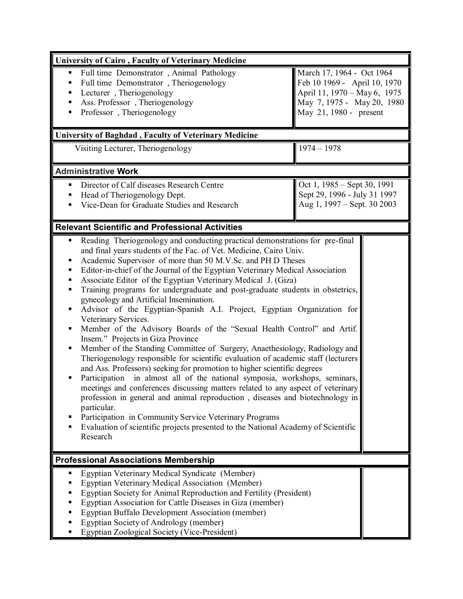| <b>University of Cairo, Faculty of Veterinary Medicine</b>                                                                                                                                                                                                                                                                                                                                                                                                                                                                                                                                                                                                                                                                                                                                                                                                                                                                                                                                                                                                                                                                                                                                                                                                                                                                                                                                                                                  |                                                                                                                                                   |  |
|---------------------------------------------------------------------------------------------------------------------------------------------------------------------------------------------------------------------------------------------------------------------------------------------------------------------------------------------------------------------------------------------------------------------------------------------------------------------------------------------------------------------------------------------------------------------------------------------------------------------------------------------------------------------------------------------------------------------------------------------------------------------------------------------------------------------------------------------------------------------------------------------------------------------------------------------------------------------------------------------------------------------------------------------------------------------------------------------------------------------------------------------------------------------------------------------------------------------------------------------------------------------------------------------------------------------------------------------------------------------------------------------------------------------------------------------|---------------------------------------------------------------------------------------------------------------------------------------------------|--|
| Full time Demonstrator, Animal Pathology<br>٠<br>Full time Demonstrator, Theriogenology<br>Lecturer, Theriogenology<br>п<br>Ass. Professor, Theriogenology<br>٠<br>Professor, Theriogenology<br>٠<br><b>University of Baghdad, Faculty of Veterinary Medicine</b>                                                                                                                                                                                                                                                                                                                                                                                                                                                                                                                                                                                                                                                                                                                                                                                                                                                                                                                                                                                                                                                                                                                                                                           | March 17, 1964 - Oct 1964<br>Feb 10 1969 - April 10, 1970<br>April 11, 1970 - May 6, 1975<br>May 7, 1975 - May 20, 1980<br>May 21, 1980 - present |  |
| Visiting Lecturer, Theriogenology                                                                                                                                                                                                                                                                                                                                                                                                                                                                                                                                                                                                                                                                                                                                                                                                                                                                                                                                                                                                                                                                                                                                                                                                                                                                                                                                                                                                           | $1974 - 1978$                                                                                                                                     |  |
|                                                                                                                                                                                                                                                                                                                                                                                                                                                                                                                                                                                                                                                                                                                                                                                                                                                                                                                                                                                                                                                                                                                                                                                                                                                                                                                                                                                                                                             |                                                                                                                                                   |  |
| <b>Administrative Work</b>                                                                                                                                                                                                                                                                                                                                                                                                                                                                                                                                                                                                                                                                                                                                                                                                                                                                                                                                                                                                                                                                                                                                                                                                                                                                                                                                                                                                                  |                                                                                                                                                   |  |
| Director of Calf diseases Research Centre<br>٠<br>Head of Theriogenology Dept.<br>٠<br>Vice-Dean for Graduate Studies and Research                                                                                                                                                                                                                                                                                                                                                                                                                                                                                                                                                                                                                                                                                                                                                                                                                                                                                                                                                                                                                                                                                                                                                                                                                                                                                                          | Oct 1, 1985 – Sept 30, 1991<br>Sept 29, 1996 - July 31 1997<br>Aug 1, 1997 – Sept. 30 2003                                                        |  |
| <b>Relevant Scientific and Professional Activities</b>                                                                                                                                                                                                                                                                                                                                                                                                                                                                                                                                                                                                                                                                                                                                                                                                                                                                                                                                                                                                                                                                                                                                                                                                                                                                                                                                                                                      |                                                                                                                                                   |  |
| Reading Theriogenology and conducting practical demonstrations for pre-final<br>п<br>and final years students of the Fac. of Vet. Medicine, Cairo Univ.<br>Academic Supervisor of more than 50 M.V.Sc. and PH D Theses<br>Ξ<br>Editor-in-chief of the Journal of the Egyptian Veterinary Medical Association<br>п<br>Associate Editor of the Egyptian Veterinary Medical J. (Giza)<br>Ξ<br>Training programs for undergraduate and post-graduate students in obstetrics,<br>п<br>gynecology and Artificial Insemination.<br>Advisor of the Egyptian-Spanish A.I. Project, Egyptian Organization for<br>п<br>Veterinary Services.<br>Member of the Advisory Boards of the "Sexual Health Control" and Artif.<br>Ξ<br>Insem." Projects in Giza Province<br>Member of the Standing Committee of Surgery, Anaethesiology, Radiology and<br>Ξ<br>Theriogenology responsible for scientific evaluation of academic staff (lecturers<br>and Ass. Professors) seeking for promotion to higher scientific degrees<br>in almost all of the national symposia, workshops, seminars,<br>Participation<br>meetings and conferences discussing matters related to any aspect of veterinary<br>profession in general and animal reproduction, diseases and biotechnology in<br>particular.<br>Participation in Community Service Veterinary Programs<br>п<br>Evaluation of scientific projects presented to the National Academy of Scientific<br>Research |                                                                                                                                                   |  |
| <b>Professional Associations Membership</b>                                                                                                                                                                                                                                                                                                                                                                                                                                                                                                                                                                                                                                                                                                                                                                                                                                                                                                                                                                                                                                                                                                                                                                                                                                                                                                                                                                                                 |                                                                                                                                                   |  |
| Egyptian Veterinary Medical Syndicate (Member)<br>п<br>Egyptian Veterinary Medical Association (Member)<br>п<br>Egyptian Society for Animal Reproduction and Fertility (President)<br>п<br>Egyptian Association for Cattle Diseases in Giza (member)<br><b>Egyptian Buffalo Development Association (member)</b><br>п<br>Egyptian Society of Andrology (member)<br>Egyptian Zoological Society (Vice-President)                                                                                                                                                                                                                                                                                                                                                                                                                                                                                                                                                                                                                                                                                                                                                                                                                                                                                                                                                                                                                             |                                                                                                                                                   |  |